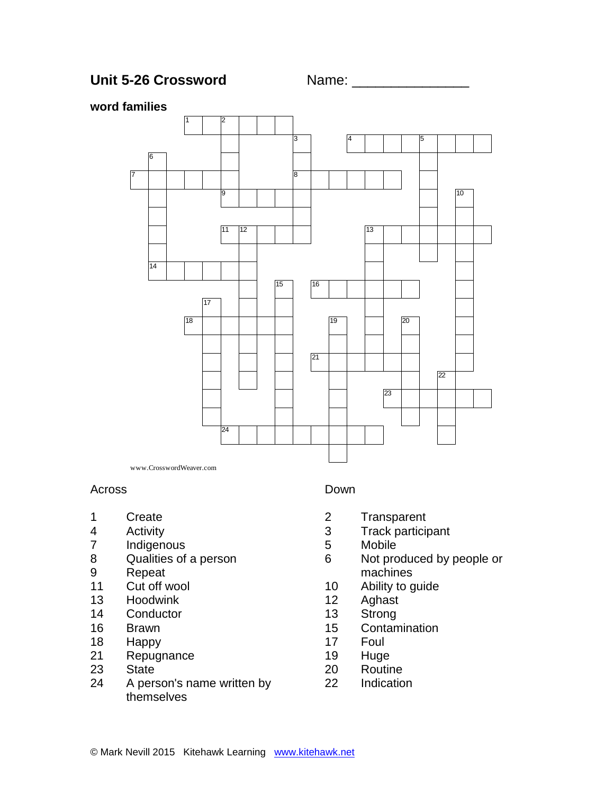



## **word families**



Across

- Create
- Activity
- Indigenous
- Qualities of a person
- Repeat
- Cut off wool
- Hoodwink
- Conductor
- Brawn
- Happy
- Repugnance
- State
- A person's name written by themselves

### Down

- Transparent
- Track participant
- Mobile
- Not produced by people or machines
- Ability to guide
- Aghast
- Strong
- Contamination
- Foul
- Huge
- Routine
- Indication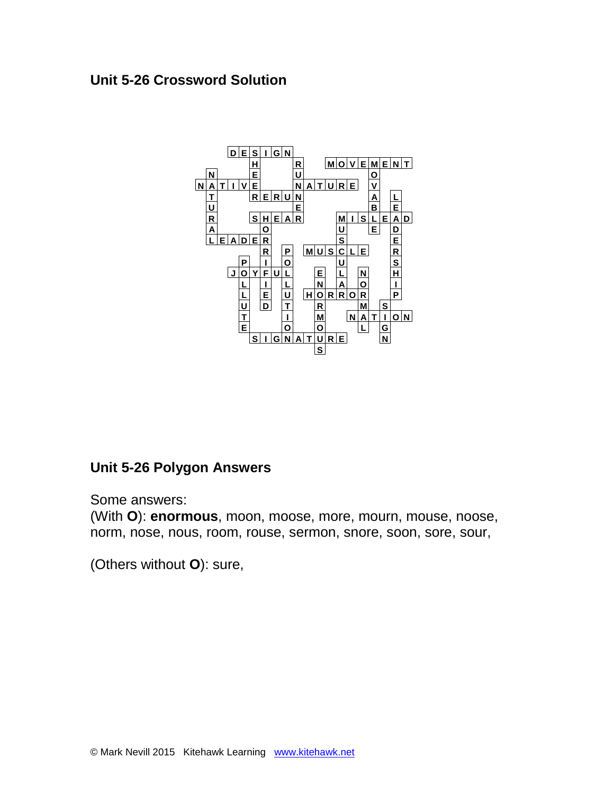# **Unit 5-26 Crossword Solution**



# **Unit 5-26 Polygon Answers**

Some answers:

(With **O**): **enormous**, moon, moose, more, mourn, mouse, noose, norm, nose, nous, room, rouse, sermon, snore, soon, sore, sour,

(Others without **O**): sure,